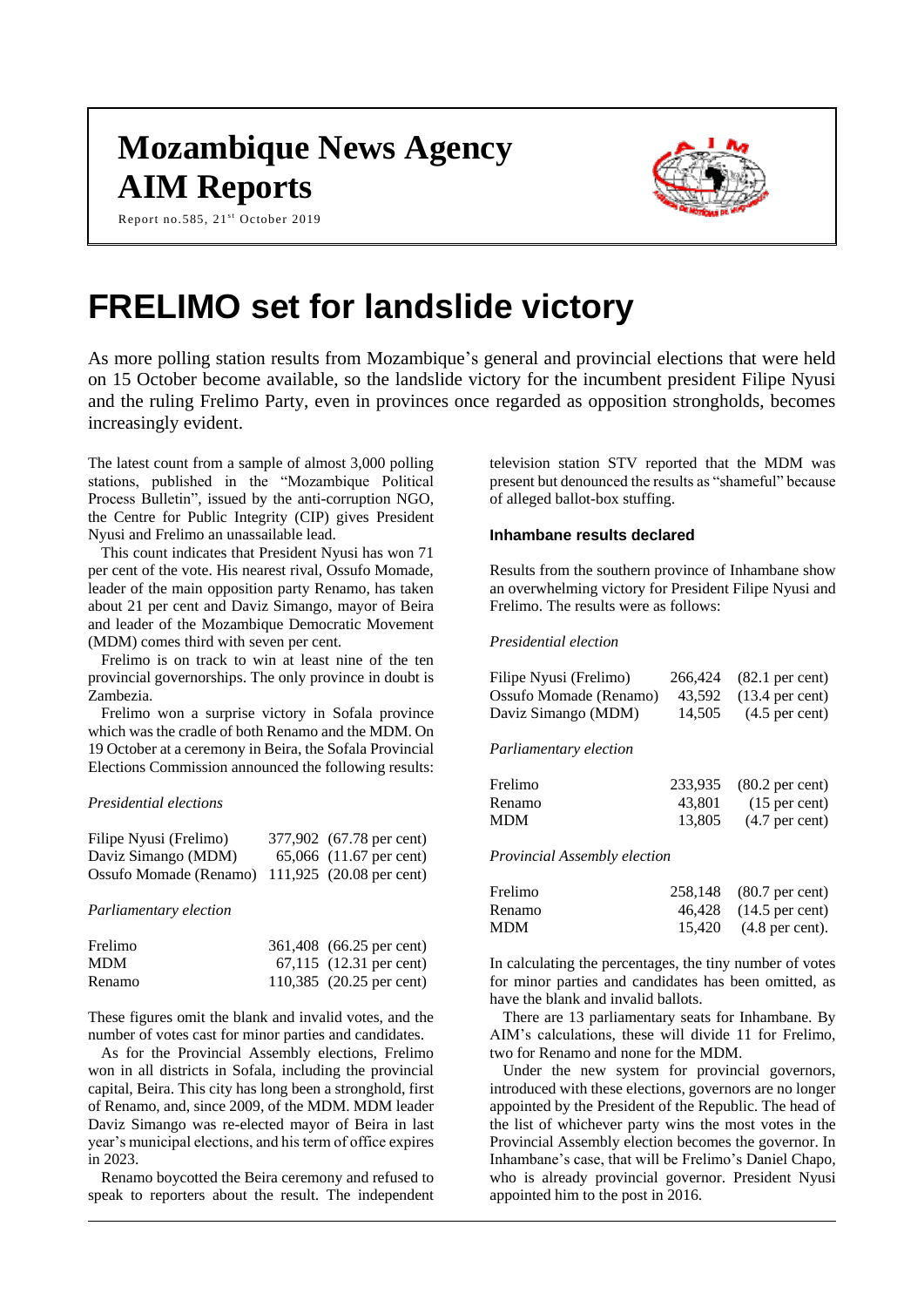## **Mozambique News Agency AIM Reports**

Report no.585, 21st October 2019



# **FRELIMO set for landslide victory**

As more polling station results from Mozambique's general and provincial elections that were held on 15 October become available, so the landslide victory for the incumbent president Filipe Nyusi and the ruling Frelimo Party, even in provinces once regarded as opposition strongholds, becomes increasingly evident.

The latest count from a sample of almost 3,000 polling stations, published in the "Mozambique Political Process Bulletin", issued by the anti-corruption NGO, the Centre for Public Integrity (CIP) gives President Nyusi and Frelimo an unassailable lead.

This count indicates that President Nyusi has won 71 per cent of the vote. His nearest rival, Ossufo Momade, leader of the main opposition party Renamo, has taken about 21 per cent and Daviz Simango, mayor of Beira and leader of the Mozambique Democratic Movement (MDM) comes third with seven per cent.

Frelimo is on track to win at least nine of the ten provincial governorships. The only province in doubt is Zambezia.

Frelimo won a surprise victory in Sofala province which was the cradle of both Renamo and the MDM. On 19 October at a ceremony in Beira, the Sofala Provincial Elections Commission announced the following results:

#### *Presidential elections*

| Filipe Nyusi (Frelimo)                          | 377,902 (67.78 per cent)          |
|-------------------------------------------------|-----------------------------------|
| Daviz Simango (MDM)                             | 65,066 $(11.67 \text{ per cent})$ |
| Ossufo Momade (Renamo) 111,925 (20.08 per cent) |                                   |

*Parliamentary election*

| Frelimo    | 361,408 (66.25 per cent) |
|------------|--------------------------|
| <b>MDM</b> | 67,115 (12.31 per cent)  |
| Renamo     | 110,385 (20.25 per cent) |

These figures omit the blank and invalid votes, and the number of votes cast for minor parties and candidates.

As for the Provincial Assembly elections, Frelimo won in all districts in Sofala, including the provincial capital, Beira. This city has long been a stronghold, first of Renamo, and, since 2009, of the MDM. MDM leader Daviz Simango was re-elected mayor of Beira in last year's municipal elections, and his term of office expires in 2023.

Renamo boycotted the Beira ceremony and refused to speak to reporters about the result. The independent

television station STV reported that the MDM was present but denounced the results as "shameful" because of alleged ballot-box stuffing.

## **Inhambane results declared**

Results from the southern province of Inhambane show an overwhelming victory for President Filipe Nyusi and Frelimo. The results were as follows:

#### *Presidential election*

| Filipe Nyusi (Frelimo) |        | 266,424 (82.1 per cent) |
|------------------------|--------|-------------------------|
| Ossufo Momade (Renamo) |        | 43,592 (13.4 per cent)  |
| Daviz Simango (MDM)    | 14,505 | $(4.5$ per cent)        |

#### *Parliamentary election*

| Frelimo    |        | 233,935 (80.2 per cent) |
|------------|--------|-------------------------|
| Renamo     | 43.801 | $(15$ per cent)         |
| <b>MDM</b> | 13.805 | $(4.7$ per cent)        |

*Provincial Assembly election*

| Frelimo | 258,148 (80.7 per cent)            |
|---------|------------------------------------|
| Renamo  | 46,428 (14.5 per cent)             |
| MDM     | $15,420$ $(4.8 \text{ per cent}).$ |

In calculating the percentages, the tiny number of votes for minor parties and candidates has been omitted, as have the blank and invalid ballots.

There are 13 parliamentary seats for Inhambane. By AIM's calculations, these will divide 11 for Frelimo, two for Renamo and none for the MDM.

Under the new system for provincial governors, introduced with these elections, governors are no longer appointed by the President of the Republic. The head of the list of whichever party wins the most votes in the Provincial Assembly election becomes the governor. In Inhambane's case, that will be Frelimo's Daniel Chapo, who is already provincial governor. President Nyusi appointed him to the post in 2016.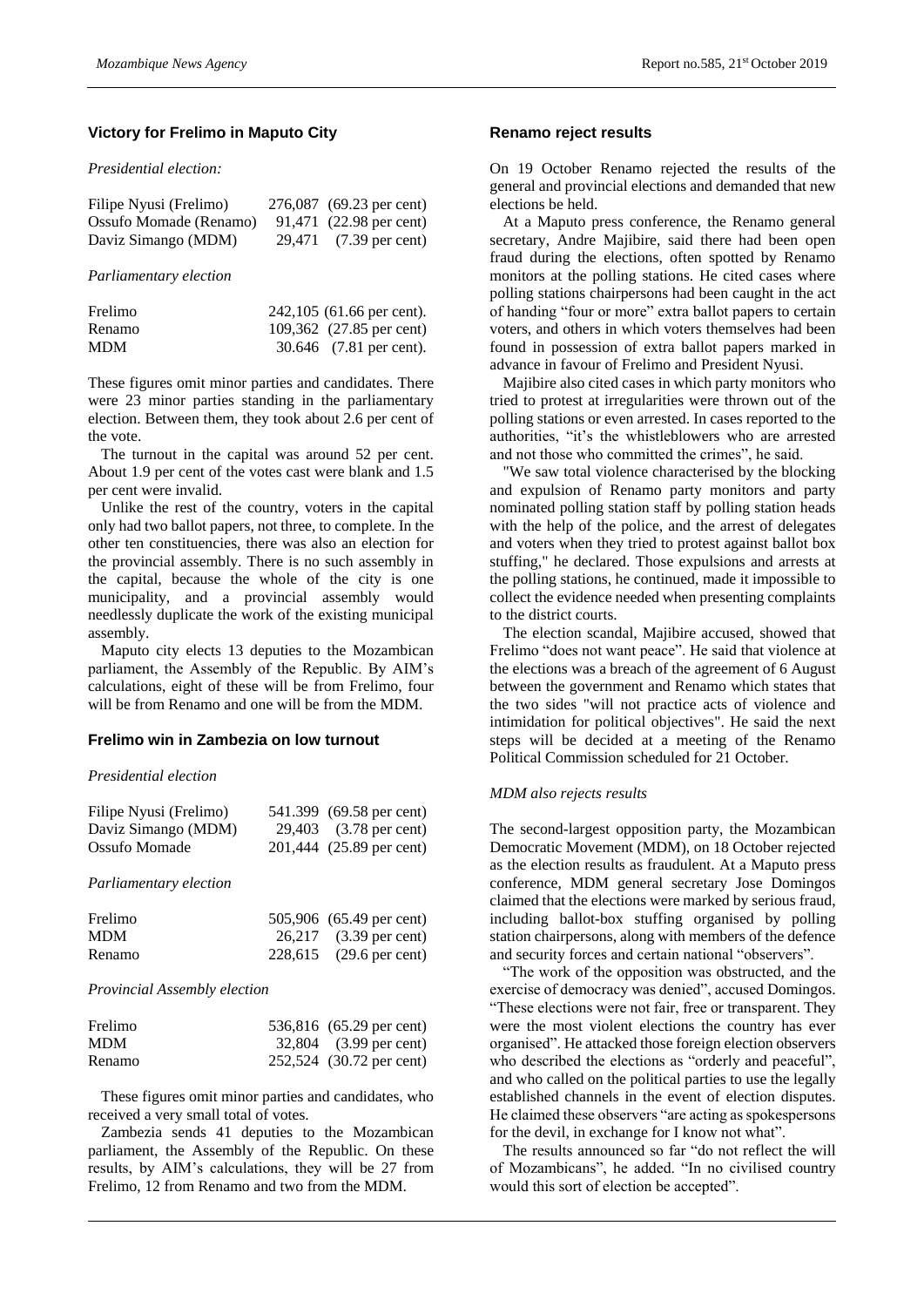## **Victory for Frelimo in Maputo City**

*Presidential election:*

| Filipe Nyusi (Frelimo) | 276,087 (69.23 per cent) |
|------------------------|--------------------------|
| Ossufo Momade (Renamo) | 91,471 (22.98 per cent)  |
| Daviz Simango (MDM)    | 29,471 (7.39 per cent)   |

*Parliamentary election*

| Frelimo    | 242,105 (61.66 per cent). |
|------------|---------------------------|
| Renamo     | 109,362 (27.85 per cent)  |
| <b>MDM</b> | 30.646 (7.81 per cent).   |

These figures omit minor parties and candidates. There were 23 minor parties standing in the parliamentary election. Between them, they took about 2.6 per cent of the vote.

The turnout in the capital was around 52 per cent. About 1.9 per cent of the votes cast were blank and 1.5 per cent were invalid.

Unlike the rest of the country, voters in the capital only had two ballot papers, not three, to complete. In the other ten constituencies, there was also an election for the provincial assembly. There is no such assembly in the capital, because the whole of the city is one municipality, and a provincial assembly would needlessly duplicate the work of the existing municipal assembly.

Maputo city elects 13 deputies to the Mozambican parliament, the Assembly of the Republic. By AIM's calculations, eight of these will be from Frelimo, four will be from Renamo and one will be from the MDM.

#### **Frelimo win in Zambezia on low turnout**

## *Presidential election*

| Filipe Nyusi (Frelimo) | 541.399 (69.58 per cent) |
|------------------------|--------------------------|
| Daviz Simango (MDM)    | 29,403 (3.78 per cent)   |
| Ossufo Momade          | 201,444 (25.89 per cent) |

*Parliamentary election*

| Frelimo    | 505,906 (65.49 per cent) |
|------------|--------------------------|
| <b>MDM</b> | 26,217 (3.39 per cent)   |
| Renamo     | 228,615 (29.6 per cent)  |

#### *Provincial Assembly election*

| Frelimo    | 536,816 (65.29 per cent) |
|------------|--------------------------|
| <b>MDM</b> | 32,804 (3.99 per cent)   |
| Renamo     | 252,524 (30.72 per cent) |

These figures omit minor parties and candidates, who received a very small total of votes.

Zambezia sends 41 deputies to the Mozambican parliament, the Assembly of the Republic. On these results, by AIM's calculations, they will be 27 from Frelimo, 12 from Renamo and two from the MDM.

#### **Renamo reject results**

On 19 October Renamo rejected the results of the general and provincial elections and demanded that new elections be held.

At a Maputo press conference, the Renamo general secretary, Andre Majibire, said there had been open fraud during the elections, often spotted by Renamo monitors at the polling stations. He cited cases where polling stations chairpersons had been caught in the act of handing "four or more" extra ballot papers to certain voters, and others in which voters themselves had been found in possession of extra ballot papers marked in advance in favour of Frelimo and President Nyusi.

Majibire also cited cases in which party monitors who tried to protest at irregularities were thrown out of the polling stations or even arrested. In cases reported to the authorities, "it's the whistleblowers who are arrested and not those who committed the crimes", he said.

"We saw total violence characterised by the blocking and expulsion of Renamo party monitors and party nominated polling station staff by polling station heads with the help of the police, and the arrest of delegates and voters when they tried to protest against ballot box stuffing," he declared. Those expulsions and arrests at the polling stations, he continued, made it impossible to collect the evidence needed when presenting complaints to the district courts.

The election scandal, Majibire accused, showed that Frelimo "does not want peace". He said that violence at the elections was a breach of the agreement of 6 August between the government and Renamo which states that the two sides "will not practice acts of violence and intimidation for political objectives". He said the next steps will be decided at a meeting of the Renamo Political Commission scheduled for 21 October.

#### *MDM also rejects results*

The second-largest opposition party, the Mozambican Democratic Movement (MDM), on 18 October rejected as the election results as fraudulent. At a Maputo press conference, MDM general secretary Jose Domingos claimed that the elections were marked by serious fraud, including ballot-box stuffing organised by polling station chairpersons, along with members of the defence and security forces and certain national "observers".

"The work of the opposition was obstructed, and the exercise of democracy was denied", accused Domingos. "These elections were not fair, free or transparent. They were the most violent elections the country has ever organised". He attacked those foreign election observers who described the elections as "orderly and peaceful", and who called on the political parties to use the legally established channels in the event of election disputes. He claimed these observers "are acting as spokespersons for the devil, in exchange for I know not what".

The results announced so far "do not reflect the will of Mozambicans", he added. "In no civilised country would this sort of election be accepted".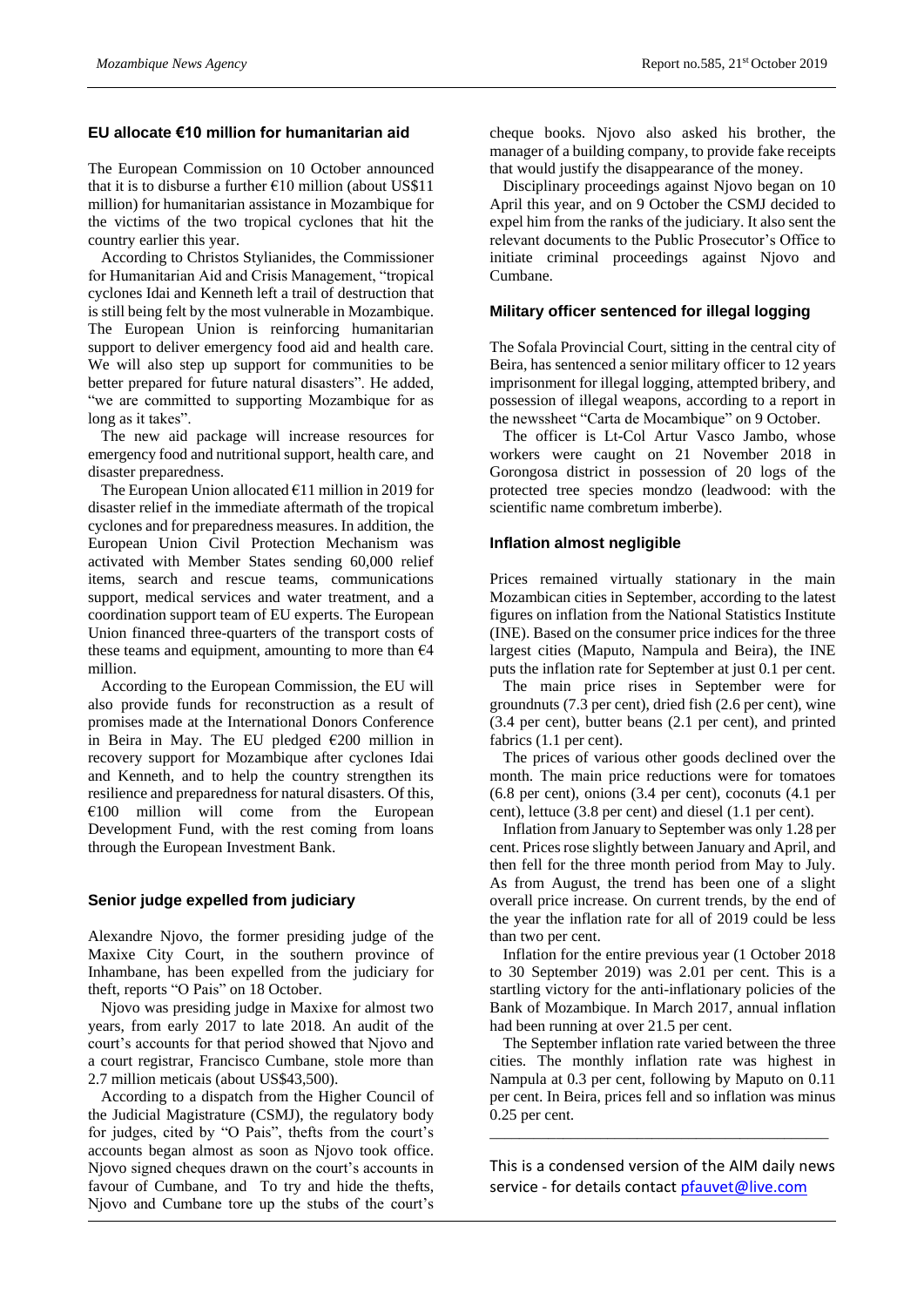## **EU allocate €10 million for humanitarian aid**

The European Commission on 10 October announced that it is to disburse a further  $\epsilon$ 10 million (about US\$11) million) for humanitarian assistance in Mozambique for the victims of the two tropical cyclones that hit the country earlier this year.

According to Christos Stylianides, the Commissioner for Humanitarian Aid and Crisis Management, "tropical cyclones Idai and Kenneth left a trail of destruction that is still being felt by the most vulnerable in Mozambique. The European Union is reinforcing humanitarian support to deliver emergency food aid and health care. We will also step up support for communities to be better prepared for future natural disasters". He added, "we are committed to supporting Mozambique for as long as it takes".

The new aid package will increase resources for emergency food and nutritional support, health care, and disaster preparedness.

The European Union allocated €11 million in 2019 for disaster relief in the immediate aftermath of the tropical cyclones and for preparedness measures. In addition, the European Union Civil Protection Mechanism was activated with Member States sending 60,000 relief items, search and rescue teams, communications support, medical services and water treatment, and a coordination support team of EU experts. The European Union financed three-quarters of the transport costs of these teams and equipment, amounting to more than  $64$ million.

According to the European Commission, the EU will also provide funds for reconstruction as a result of promises made at the International Donors Conference in Beira in May. The EU pledged  $\epsilon$ 200 million in recovery support for Mozambique after cyclones Idai and Kenneth, and to help the country strengthen its resilience and preparedness for natural disasters. Of this,  $€100$  million will come from the European Development Fund, with the rest coming from loans through the European Investment Bank.

## **Senior judge expelled from judiciary**

Alexandre Njovo, the former presiding judge of the Maxixe City Court, in the southern province of Inhambane, has been expelled from the judiciary for theft, reports "O Pais" on 18 October.

Njovo was presiding judge in Maxixe for almost two years, from early 2017 to late 2018. An audit of the court's accounts for that period showed that Njovo and a court registrar, Francisco Cumbane, stole more than 2.7 million meticais (about US\$43,500).

According to a dispatch from the Higher Council of the Judicial Magistrature (CSMJ), the regulatory body for judges, cited by "O Pais", thefts from the court's accounts began almost as soon as Njovo took office. Njovo signed cheques drawn on the court's accounts in favour of Cumbane, and To try and hide the thefts, Njovo and Cumbane tore up the stubs of the court's

cheque books. Njovo also asked his brother, the manager of a building company, to provide fake receipts that would justify the disappearance of the money.

Disciplinary proceedings against Njovo began on 10 April this year, and on 9 October the CSMJ decided to expel him from the ranks of the judiciary. It also sent the relevant documents to the Public Prosecutor's Office to initiate criminal proceedings against Njovo and Cumbane.

## **Military officer sentenced for illegal logging**

The Sofala Provincial Court, sitting in the central city of Beira, has sentenced a senior military officer to 12 years imprisonment for illegal logging, attempted bribery, and possession of illegal weapons, according to a report in the newssheet "Carta de Mocambique" on 9 October.

The officer is Lt-Col Artur Vasco Jambo, whose workers were caught on 21 November 2018 in Gorongosa district in possession of 20 logs of the protected tree species mondzo (leadwood: with the scientific name combretum imberbe).

## **Inflation almost negligible**

Prices remained virtually stationary in the main Mozambican cities in September, according to the latest figures on inflation from the National Statistics Institute (INE). Based on the consumer price indices for the three largest cities (Maputo, Nampula and Beira), the INE puts the inflation rate for September at just 0.1 per cent.

The main price rises in September were for groundnuts (7.3 per cent), dried fish (2.6 per cent), wine (3.4 per cent), butter beans (2.1 per cent), and printed fabrics  $(1.1$  per cent).

The prices of various other goods declined over the month. The main price reductions were for tomatoes (6.8 per cent), onions (3.4 per cent), coconuts (4.1 per cent), lettuce (3.8 per cent) and diesel (1.1 per cent).

Inflation from January to September was only 1.28 per cent. Prices rose slightly between January and April, and then fell for the three month period from May to July. As from August, the trend has been one of a slight overall price increase. On current trends, by the end of the year the inflation rate for all of 2019 could be less than two per cent.

Inflation for the entire previous year (1 October 2018 to 30 September 2019) was 2.01 per cent. This is a startling victory for the anti-inflationary policies of the Bank of Mozambique. In March 2017, annual inflation had been running at over 21.5 per cent.

The September inflation rate varied between the three cities. The monthly inflation rate was highest in Nampula at 0.3 per cent, following by Maputo on 0.11 per cent. In Beira, prices fell and so inflation was minus 0.25 per cent.

This is a condensed version of the AIM daily news service - for details contac[t pfauvet@live.com](mailto:pfauvet@live.com)

\_\_\_\_\_\_\_\_\_\_\_\_\_\_\_\_\_\_\_\_\_\_\_\_\_\_\_\_\_\_\_\_\_\_\_\_\_\_\_\_\_\_\_\_\_\_